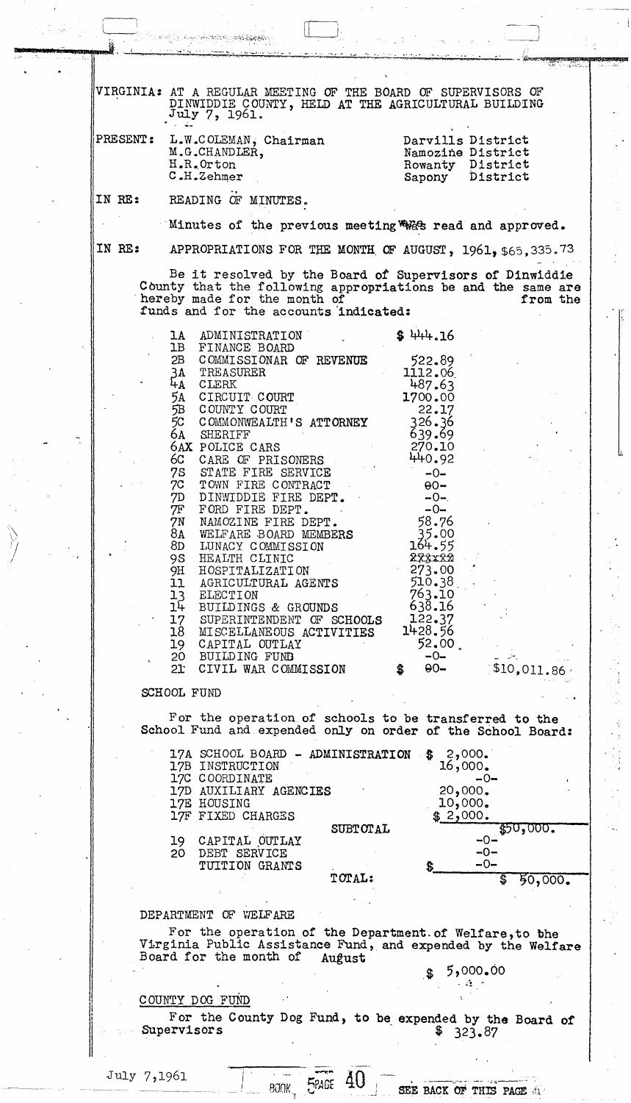VIRGINIA: AT A REGULAR MEETING OF THE BOARD OF SUPERVISORS OF DINWIDDIE COUNTY, HELD AT THE AGRICULTURAL BUILDING July 7, 1961.. PRESENT: L.W.COLEMAN, Chairman Darvi11s District M.G.CHANDLER, Namozine District H.R •. Orton Rowanty District<br>Sapony District  $C.H.Zehmer$ District ., IN BE: READING OF MINUTES. Minutes of the previous meeting  $R$  read and approved. IN RE: APPROPRIATIONS FOR THE MONTH OF AUGUST,  $1961, 565, 335.73$ Be it resolved by the Board *of* Supervisors of Dinwiddie County that the following appropriations be and the same are hereby made for the month of from the funds and for the accounts indicated: 1A ADMINISTRATION<br>1B FINANCE BOARD  $$444.16$ 1B FINANCE BOARD<br>2B COMMISSIONAR COMMISSIONAR OF REVENUE 522.89 TREASURER 1112.06 3A  $\frac{54}{54}$ 487.63 4- CLERK 5A CIRCUIT COURT<br>5B COUNTY COURT 1700.00 5B COUNTY COURT<br>5C COMMONWEALTH' 22.17 5C COMMONWEALTH'S ATTORNEY<br>6A SHERIFF 326.36 **SHERIFF** 639.69 270.10 6AX POLICE CARS<br>6C CARE OF PRIS 440.92 6C CARE OF PRISONERS<br>7S STATE FIRE SERVICE 7S STATE FIRE SERVICE<br>7C TOWN FIRE CONTRACT  $-0-$ 7C TOWN FIRE CONTRACT<br>7D DINWIDDIE FIRE DEP!  $\Theta$  $\Theta$ 7D DINWIDDIE FIRE DEPT.<br>7F FORD FIRE DEPT.  $-0-$ . 7F FORD FIRE DEPT.<br>7N NAMOZINE FIRE D.  $-0-$ 58.76 7N NAMOZINE FIRE DEPT.<br>8A WELFARE BOARD MEMBER 8A WELFARE BOARD MEMBERS<br>8D LUNACY COMMISSION 35.00 8D LUNACY COMMISSION<br>9S HEALTH CLINIC 164.55 9S HEALTH CLINIC<br>9H HOSPITALIZATI 27xxx2 273.00 9H HOSPITALIZATION<br>11 AGRICULTURAL AG 11 AGRICULTURAL AGENTS<br>13 ELECTION 510.38<br>763.10 13 ELECTION<br>14 BUILDINGS 763.10 . 638.16 14 BUILDINGS & GROUNDS 122.37 17 SUPERINTENDENT OF SCHOOLS<br>18 MISCELLANEOUS ACTIVITIES 1428.56 18 MISCELLANEOUS ACTIVITIES<br>19 CAPITAL OUTLAY 19 CAPITAL OUTLAY<br>20 BUILDING FUND  $52.00$ <br>-0-<br> $-0$ -<br> $-0$ - $\updownarrow$   $\updownarrow$   $\updownarrow$   $\downarrow$   $\downarrow$   $\downarrow$   $\downarrow$   $\downarrow$   $\downarrow$   $\downarrow$   $\downarrow$   $\downarrow$ 20 BUILDING FUND<br>21 CIVIL WAR COM CIVIL WAR COMMISSION . \$10., OIl. 86 ' SCHOOL FUND For the operation of schools to be transferred to the School Fund and expended only on order of the School Board: 17A SCHOOL BOARD - ADMINISTRATION  $$2,000.$ 17B INSTRUCTION 16,000. 17C COORDINATE -0- 17D AUXILIARY AGENCIES 20,000. 10,000. 17E HOUSING 17F FIXED CHARGES  $$2,000.$ \$50,000. SUBTOTAL -0- 19 CAPITAL OUTLAY<br>20 DEBT SERVICE  $-0-$ DEBT SERVICE  $-0-$ TUITION GRANTS TOTAL:  $$50,000.$ DEP ARTMENT OF VIELF ARE For the operation of the Department. of We1fare,to bhe Virginia Public Assistance Fund, and expended by the Welfare Board for the month of August 00**.**00 و5<br>منطقات COUNTY DOG FUND For the County Dog Fund, to be expended by the Board of Supervisors  $\frac{1}{2}$   $\frac{1}{323.87}$ . 0 . 4: . . . ---.'---' \_ .. :~-... -': i . July 7,1961 I **4U** SEE BACK OF THIS PAGE *d1* ~PAGE t..

 $\mathcal{L}_\mathrm{a}$ 

! BOOK 1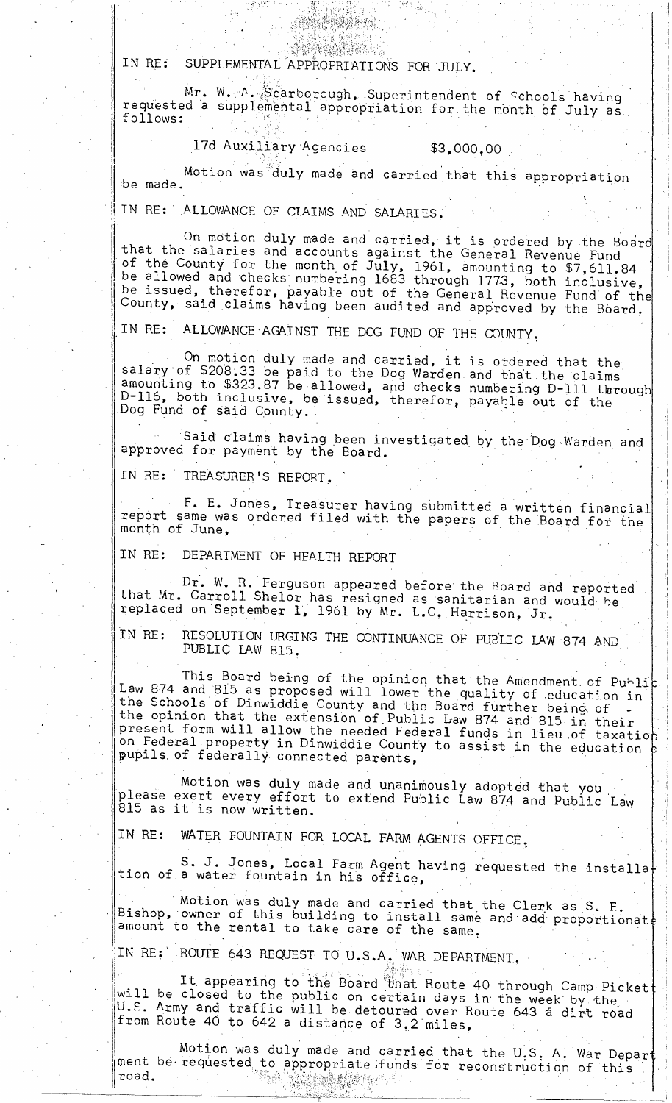IN RE: SUPPLEMENTAL APPROPRIATIONS FOR JULY.

Mr. W. A. Scarborough, Superintendent of Schools having requested a supplemental appropriation for the month of July as follows:

17d Auxiliary Agencies

实现外的结果是等

**SASY MARK** 

 $$3,000,00$ 

Motion was duly made and carried that this appropriation be made.

IN RE: ALLOWANCE OF CLAIMS AND SALARIES.

On motion duly made and carried, it is ordered by the Board<br>that the salaries and accounts against the General Revenue Fund<br>of the County for the month of July, 1961, amounting to \$7,611.84<br>be allowed and checks numbering be dissued, therefor, payable out of the General Revenue Fund of the County, said claims having been audited and approved by the Board.

IN RE: ALLOWANCE AGAINST THE DOG FUND OF THE COUNTY.

On motion duly made and carried, it is ordered that the<br>salary of \$208.33 be paid to the Dog Warden and that the claims<br>amounting to \$323.87 be allowed, and checks numbering D-111 through<br>D-116, both inclusive, be issued,

Said claims having been investigated by the Dog Warden and approved for payment by the Board.

IN RE: TREASURER'S REPORT.

F. E. Jones, Treasurer having submitted a written financial<br>report same was ordered filed with the papers of the Board for the month of June,

IN RE: DEPARTMENT OF HEALTH REPORT

Dr. W. R. Ferguson appeared before the Board and reported<br>that Mr. Carroll Shelor has resigned as sanitarian and would be replaced on September 1, 1961 by Mr. L.C. Harrison, Jr.

RESOLUTION URGING THE CONTINUANCE OF PUBLIC LAW 874 AND IN RE: PUBLIC LAW 815.

This Board being of the opinion that the Amendment of Public<br>Law 874 and 815 as proposed will lower the quality of education in the Schools of Dinwiddie County and the Board further being of -<br>the opinion that the extension of Public Law 874 and 815 in their<br>present form will allow the needed Federal funds in lieu of taxation on Federal property in Dinwiddie County to assist in the education<br>pupils of federally connected parents,

Motion was duly made and unanimously adopted that you<br>please exert every effort to extend Public Law 874 and Public Law 815 as it is now written.

WATER FOUNTAIN FOR LOCAL FARM AGENTS OFFICE. IN RE:

S. J. Jones, Local Farm Agent having requested the installation of a water fountain in his office,

Motion was duly made and carried that the Clerk as S. F.<br>Bishop, owner of this building to install same and add proportionate<br>amount to the rental to take care of the same.

IN RE: ROUTE 643 REQUEST TO U.S.A. WAR DEPARTMENT.

It appearing to the Board that Route 40 through Camp Picket<br>will be closed to the public on certain days in the week by the<br>U.S. Army and traffic will be detoured over Route 643 a dirt road from Route 40 to 642 a distance of 3.2 miles,

Motion was duly made and carried that the U.S. A. War Depart<br>ment be requested to appropriate funds for reconstruction of this  $\parallel$ road. 獨盛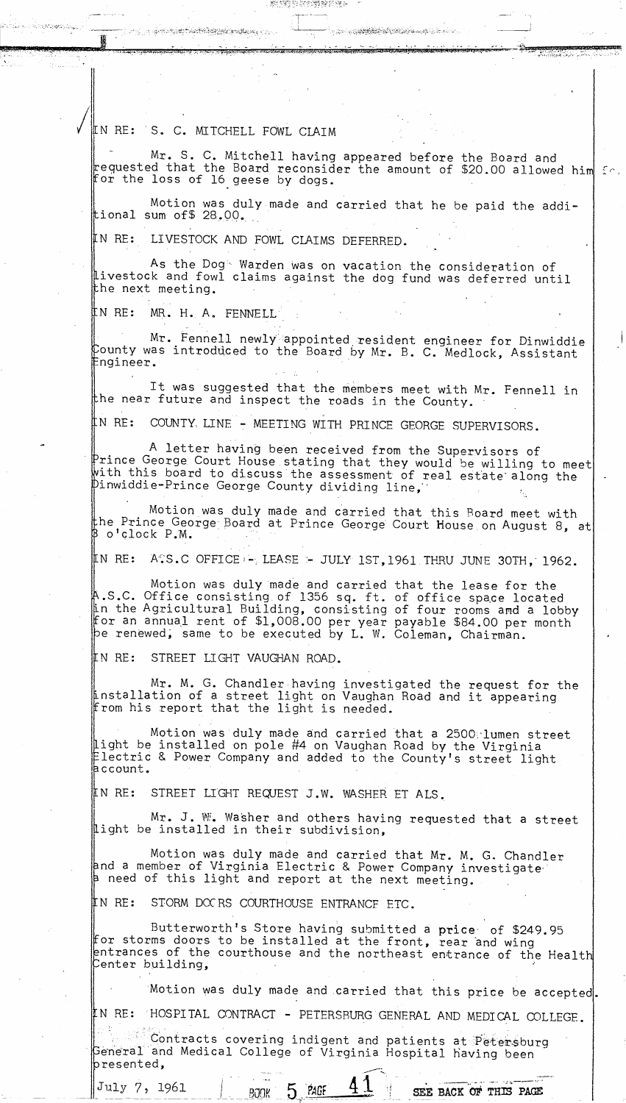IN RE: S. C. MITCHELL FOWL CIAIM

Mr. S. C. Mitchell having appeared before the Board and Mr. S. C. Mitchell having appeared before the Board found for the loss of 16 geese by dogs.

<u>او کو کولولونونو پر در برابر</u> برا

Motion was duly made and carried that he be paid the additional sum of\$ 28.00.

SHIPP PARTIME PARA

IN RE: LIVESTOCK AND FOWL CLAIMS DEFERRED.

As the Dog Warden was on vacation the consideration of Livestock and fowl claims against the dog fund was deferred until the next meeting.

‼N RE: MR. H. A. FENNELL

Mr. Fennell newly appointed resident engineer for Dinwiddie County was introduced to the Board by Mr. B. C. Medlock, Assistant Engineer.

It was suggested that the members meet with Mr. Fennell in the near future and inspect the roads in the County.

IN RE: COUNTY, LINE - MEETING WITH PRINCE GEORGE SUPERVISORS.

A letter having been received from the Supervisors of  $\mathbb P$ rince George Court House stating that they would be willing to meet with this board to discuss the assessment of real estate along the "Pinwiddie-Prince George County dividing line,

Motion was duly made and carried that this Board meet with the Prince George Board at Prince George Court House on August 8, at o'clock P.M.

A.S.C OFFICE - LEASE - JULY 1ST, 1961 THRU JUNE 30TH, 1962. IN RE:

Motion was duly made and carried that the lease for the A.S.C. Office consisting of 1356 sq. ft. of office space located<br>in the Agricultural Building, consisting of four rooms and a lobby for an annual rent of \$1,008.00 per year payable \$84.00 per month<br>pe renewed, same to be executed by L.W. Coleman, Chairman.

IN RE: STREET LIGHT VAUGHAN ROAD.

Mr. M. G. Chandler having investigated the request for the<br>Installation of a street light on Vaughan Road and it appearing<br>from his report that the light is needed.

Motion was duly made and carried that a 2500 lumen street<br>light be installed on pole #4 on Vaughan Road by the Virginia Electric & Power Company and added to the County's street light account.

STREET LIGHT REQUEST J.W. WASHER ET ALS. IN RE:

Mr. J. W. Washer and others having requested that a street light be installed in their subdivision,

Motion was duly made and carried that Mr. M. G. Chandler and a member of Virginia Electric & Power Company investigate need of this light and report at the next meeting.

IN RE: STORM DOCRS COURTHOUSE ENTRANCE ETC.

**BJOK** 

Butterworth's Store having submitted a price of \$249.95 for storms doors to be installed at the front, rear and wing entrances of the courthouse and the northeast entrance of the Health Center building.

Motion was duly made and carried that this price be accepted.

IN RE: HOSPITAL CONTRACT - PETERSBURG GENERAL AND MEDICAL COLLEGE.

Contracts covering indigent and patients at Petersburg<br>General and Medical College of Virginia Hospital having been presented,

July 7, 1961

5 PAGE

SEE BACK OF THIS PAGE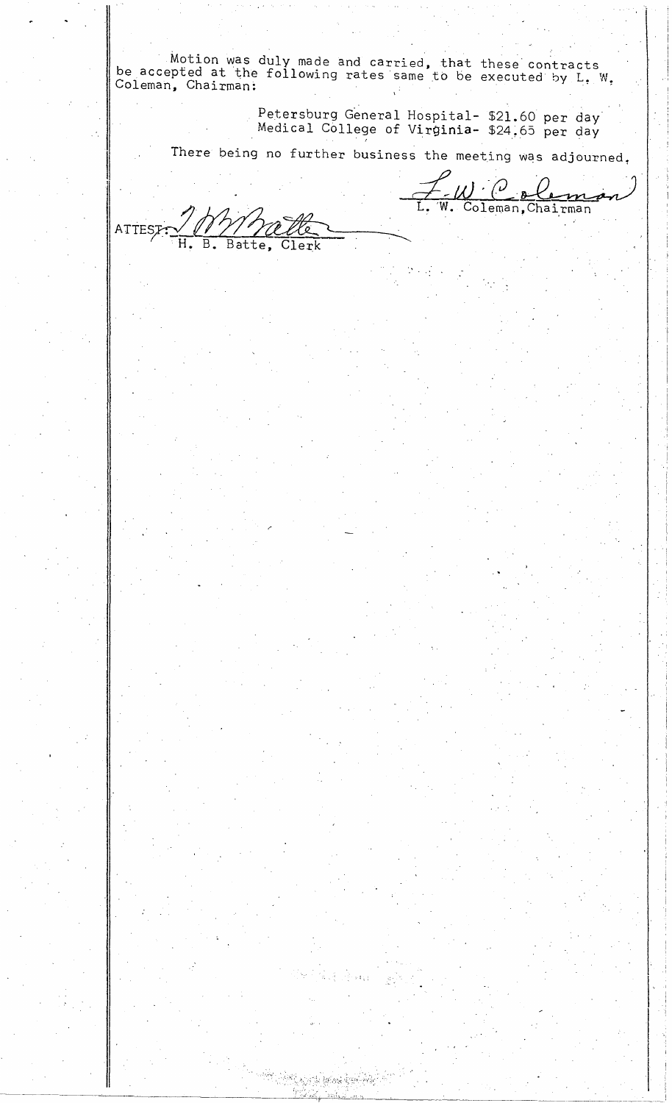Motion was duly made and carried, that these' contracts be accepted at the following rates same to be executed by L. W. Coleman, Chairman:

. >.~....,'

 $\left\{ \begin{array}{c} 1 \\ 2 \end{array} \right\}$ 

 $\mathsf{L}$ 

Petersburg General Hospital- \$21.60 per day Medical College of Virginia- \$24.65 per day

Ĺ.

 $\overline{\mathbf{w}}$  .

<u>UC aleman</u>

There being no further business the meeting was adjourned,

Thyhalle ATTESTE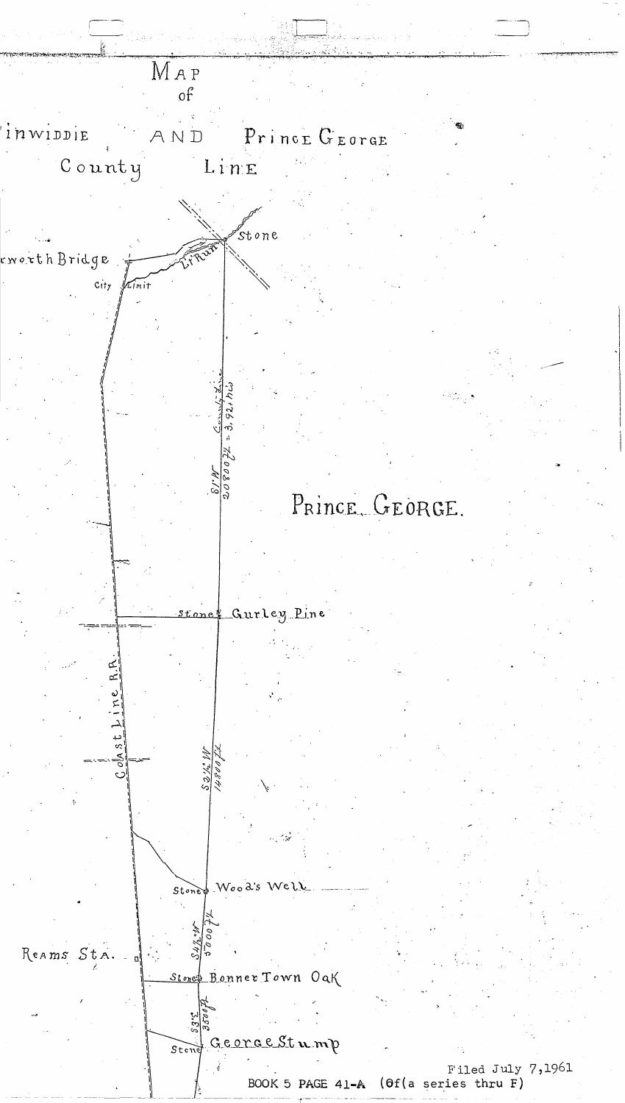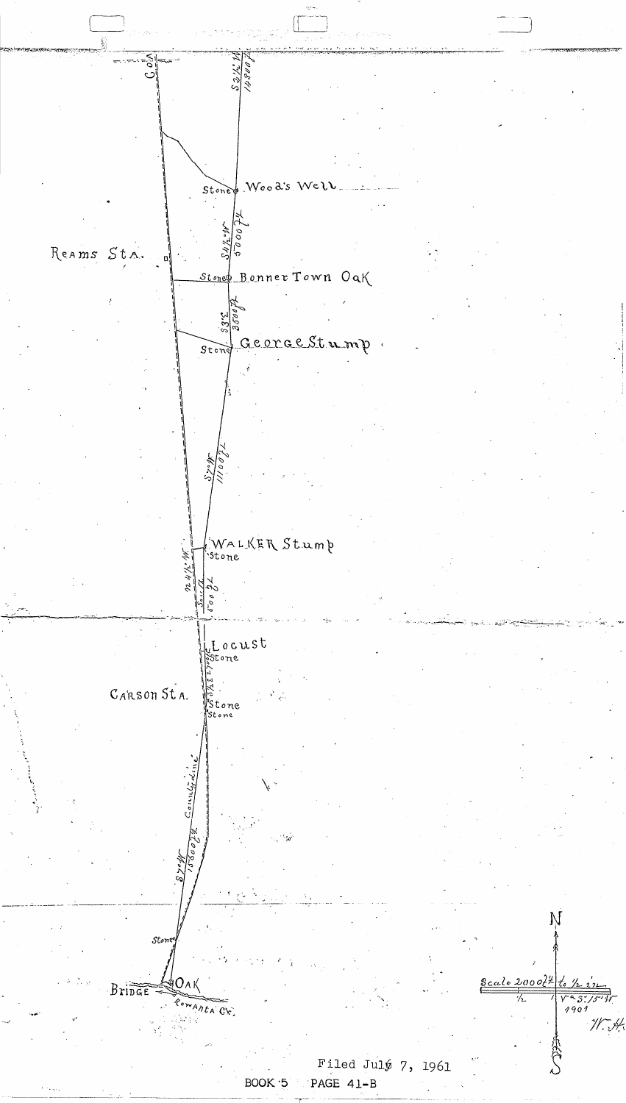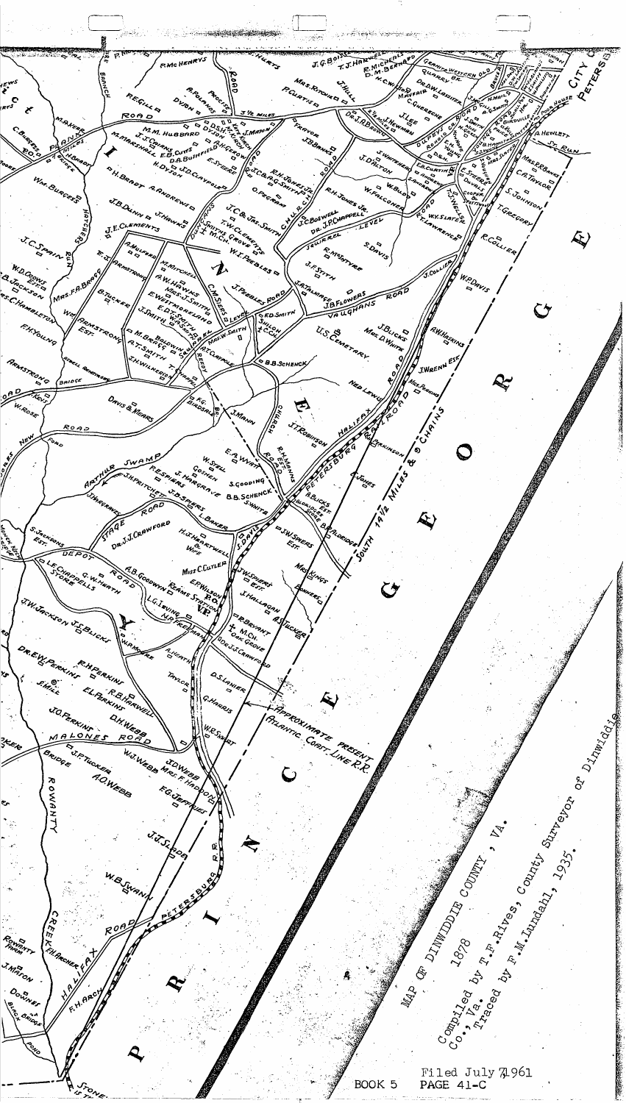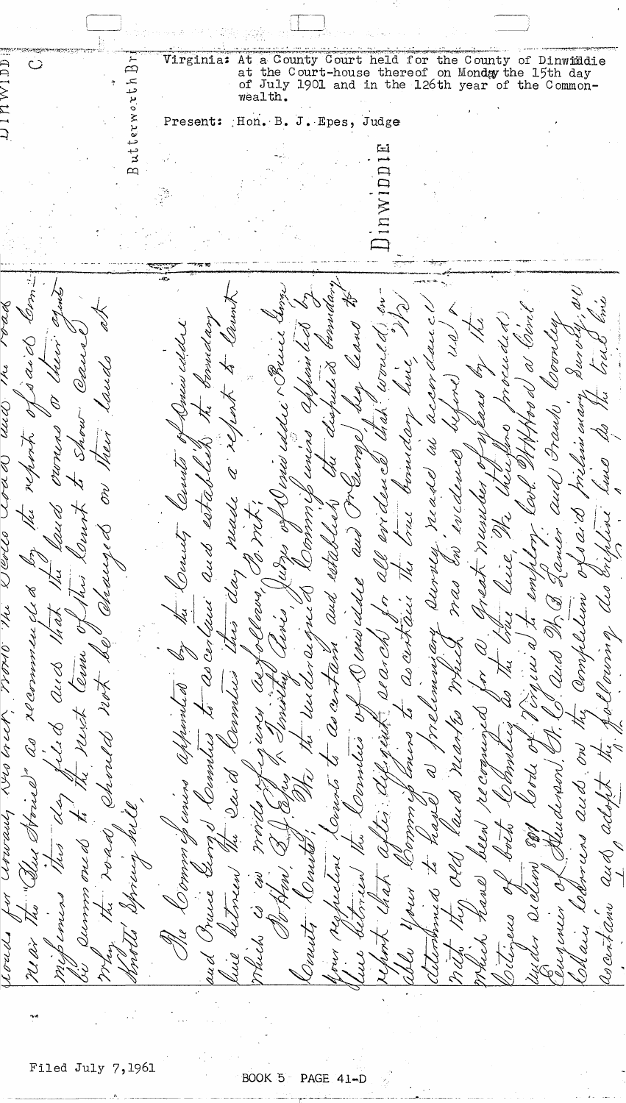コーム アーストラル Virginia: At a County Court held for the County of Dinwiddicat the Court-house thereof on Monday the 15th day<br>of July 1901 and in the 126th year of the Common-Butterworth Br Dinwiddie  $\circ$ wealth. Present: Hon. B. J. Epes, Judge نتآ **CAMP** and amme S P berniaa مواجه roak t Olive<sub>r</sub> borned ary accor aau c worse de d Doorley Domes called sen cell Burvey U DAA mund  $7/9$  $\breve{\mathbf{v}}$ ai d Cheev. Caus UNUS. プタス Í laudo m  $\frac{1}{2}$ 1<br>1 R) i<br>K P) V<br>V  $\beta$ melinu cuary UUC <u>U</u>  $\chi$  $\varphi$ Ulli FrauN Show. borns aan orono report unun nen Â Zeerp. Ivedence Revents Dus Greet more the Deves Rosa Cond Yze a d O aud ₹ - munder 29 DY A Vs 1 O neade ) blst أمراكم Yu 22 C  $\beta$ bruc Kerry '<br>B  $\beta$ anen AU Derick aurven. au d AR DID (elle ellen ご 7.  $\breve{\mathcal{C}}$ Aa, h Li mas rea 14h Й K) Caw Uldil ULS Hermmen de de aud 02 V S rom Ç Ś titel ilich 14 ah 4 relimini ary b visns er le i  $Q$ l  $Q$ r Oʻk 'Ob Cen as cin r Dri Corn E Amp QLS  $\mathcal{Q}$ eld somus Ľ UU A as cen hundi A  $\mathcal{L}$  $\varphi$ Ş  $\chi$ RUA L1 & as 1U AR, つとう rennes Omnlw Compen (140 Ÿ Arvu mor B ILU ALIPAN  $\epsilon$ one Desirbs Consed QUS Ice Y 'AL D OCCO<br>S ANCEN Cap J reen Í HAA つくどう つくとう CLATA Oinvis OUL A lus werker  $2u$ OL  $\mathcal{L}$ H そうくさ rane 9. LLLL ろう S Y J<br>S rп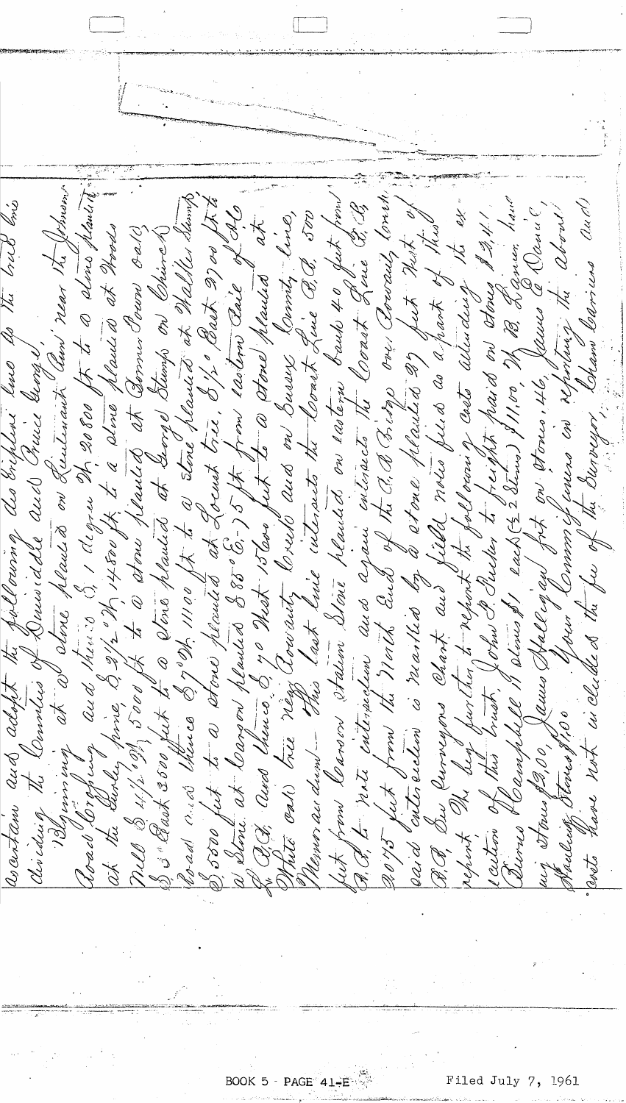Road Loropuly and then 3 31 degree th 20800 ft to a clima planting 13 Georginal at a dene places on Luitenant and reas new the Johnson fut from Carson station Sine plained on ration bails 40 fut from!"<br>F. P. E. n.t. interpretion and apain interpreto the Coast Gone G. B.<br>2075 fut from the Morth and of the G. A Fishp on Bound, Could, recentain and adopt the pullouring des briplene hue he the brist bis Corad oned there of god, 11100 ft to a stone planted at Walker Stemp, aid with entirelien is marked by a stone pleasted 2) first nort, of<br>D.P. On Currupos Chart and field moins file and the moth of these<br>report, In buy further to report the following casts when an stone I 2,41.<br>Castros of th Sharlendy Stoves \$1,00 . Your Commission in reporting the about S500 fut to a stone planted at Locust trie, 81/2 Past 2700 Stit a Stone. at Carson planted 885°6-) 5 ft from laton Pail of late nell & 11/2 194, 5000 ft to W stone planted at Bonner Pown crates

BOOK 5 - PAGE  $41 - E$ 

Filed July 7, 1961